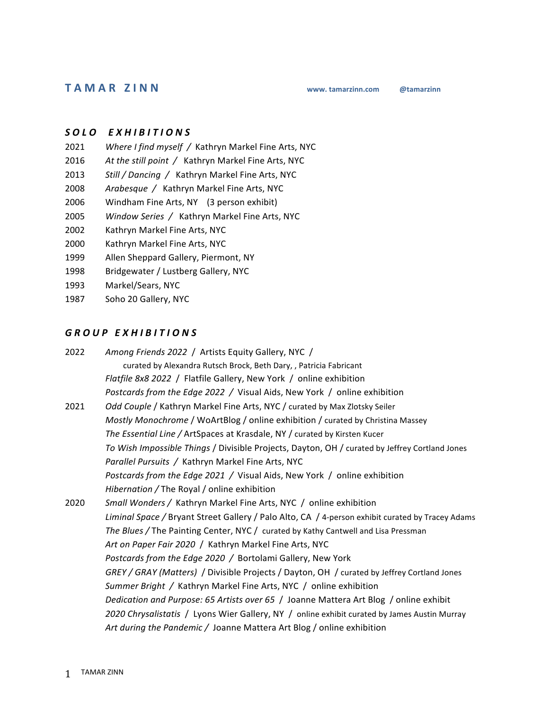#### *S O L O E X H I B I T I O N S*

- 2021 Where I find myself / Kathryn Markel Fine Arts, NYC
- 2016 At the still point / Kathryn Markel Fine Arts, NYC
- 2013 *Still / Dancing / Kathryn Markel Fine Arts, NYC*
- 2008 Arabesque / Kathryn Markel Fine Arts, NYC
- 2006 Windham Fine Arts, NY (3 person exhibit)
- 2005 Window Series / Kathryn Markel Fine Arts, NYC
- 2002 Kathryn Markel Fine Arts, NYC
- 2000 Kathryn Markel Fine Arts, NYC
- 1999 Allen Sheppard Gallery, Piermont, NY
- 1998 Bridgewater / Lustberg Gallery, NYC
- 1993 Markel/Sears, NYC
- 1987 Soho 20 Gallery, NYC

#### *G R O U P E X H I B I T I O N S*

| 2022 | Among Friends 2022 / Artists Equity Gallery, NYC /                              |
|------|---------------------------------------------------------------------------------|
|      | curated by Alexandra Rutsch Brock, Beth Dary, , Patricia Fabricant              |
|      | Flatfile 8x8 2022 / Flatfile Gallery, New York / online exhibition              |
|      | <i>Postcards from the Edge 2022 / Visual Aids, New York / online exhibition</i> |
|      |                                                                                 |

- 2021 *Odd Couple* / Kathryn Markel Fine Arts, NYC / curated by Max Zlotsky Seiler *Mostly Monochrome* / WoArtBlog / online exhibition / curated by Christina Massey *The Essential Line* / ArtSpaces at Krasdale, NY / curated by Kirsten Kucer *To Wish Impossible Things* / Divisible Projects, Dayton, OH / curated by Jeffrey Cortland Jones *Parallel Pursuits* / Kathryn Markel Fine Arts, NYC *Postcards from the Edge 2021* / Visual Aids, New York / online exhibition *Hibernation* / The Royal / online exhibition
- 2020 *Small Wonders* / Kathryn Markel Fine Arts, NYC / online exhibition *Liminal Space* / Bryant Street Gallery / Palo Alto, CA / 4-person exhibit curated by Tracey Adams *The Blues* / The Painting Center, NYC / curated by Kathy Cantwell and Lisa Pressman Art on Paper Fair 2020 / Kathryn Markel Fine Arts, NYC *Postcards from the Edge 2020* / Bortolami Gallery, New York *GREY* / *GRAY* (*Matters*) / Divisible Projects / Dayton, OH / curated by Jeffrey Cortland Jones *Summer Bright* / Kathryn Markel Fine Arts, NYC / online exhibition *Dedication and Purpose: 65 Artists over 65* / Joanne Mattera Art Blog / online exhibit *2020 Chrysalistatis* / Lyons Wier Gallery, NY / online exhibit curated by James Austin Murray Art during the Pandemic / Joanne Mattera Art Blog / online exhibition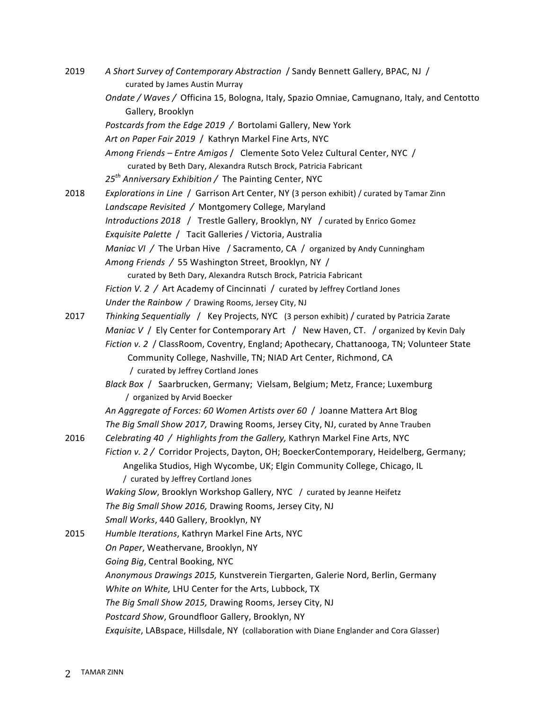| 2019 | A Short Survey of Contemporary Abstraction / Sandy Bennett Gallery, BPAC, NJ /<br>curated by James Austin Murray |
|------|------------------------------------------------------------------------------------------------------------------|
|      | Ondate / Waves / Officina 15, Bologna, Italy, Spazio Omniae, Camugnano, Italy, and Centotto                      |
|      | Gallery, Brooklyn                                                                                                |
|      | Postcards from the Edge 2019 / Bortolami Gallery, New York                                                       |
|      | Art on Paper Fair 2019 / Kathryn Markel Fine Arts, NYC                                                           |
|      | Among Friends - Entre Amigos / Clemente Soto Velez Cultural Center, NYC /                                        |
|      | curated by Beth Dary, Alexandra Rutsch Brock, Patricia Fabricant                                                 |
|      | 25 <sup>th</sup> Anniversary Exhibition / The Painting Center, NYC                                               |
| 2018 | Explorations in Line / Garrison Art Center, NY (3 person exhibit) / curated by Tamar Zinn                        |
|      | Landscape Revisited / Montgomery College, Maryland                                                               |
|      | Introductions 2018 / Trestle Gallery, Brooklyn, NY / curated by Enrico Gomez                                     |
|      | Exquisite Palette / Tacit Galleries / Victoria, Australia                                                        |
|      | Maniac VI / The Urban Hive / Sacramento, CA / organized by Andy Cunningham                                       |
|      | Among Friends / 55 Washington Street, Brooklyn, NY /                                                             |
|      | curated by Beth Dary, Alexandra Rutsch Brock, Patricia Fabricant                                                 |
|      | Fiction V. 2 / Art Academy of Cincinnati / curated by Jeffrey Cortland Jones                                     |
|      | Under the Rainbow / Drawing Rooms, Jersey City, NJ                                                               |
| 2017 | Thinking Sequentially / Key Projects, NYC (3 person exhibit) / curated by Patricia Zarate                        |
|      | Maniac V / Ely Center for Contemporary Art / New Haven, CT. / organized by Kevin Daly                            |
|      | Fiction v. 2 / ClassRoom, Coventry, England; Apothecary, Chattanooga, TN; Volunteer State                        |
|      | Community College, Nashville, TN; NIAD Art Center, Richmond, CA                                                  |
|      | / curated by Jeffrey Cortland Jones                                                                              |
|      | Black Box / Saarbrucken, Germany; Vielsam, Belgium; Metz, France; Luxemburg<br>/ organized by Arvid Boecker      |
|      | An Aggregate of Forces: 60 Women Artists over 60 / Joanne Mattera Art Blog                                       |
|      | The Big Small Show 2017, Drawing Rooms, Jersey City, NJ, curated by Anne Trauben                                 |
| 2016 | Celebrating 40 / Highlights from the Gallery, Kathryn Markel Fine Arts, NYC                                      |
|      | Fiction v. 2 / Corridor Projects, Dayton, OH; BoeckerContemporary, Heidelberg, Germany;                          |
|      | Angelika Studios, High Wycombe, UK; Elgin Community College, Chicago, IL                                         |
|      | / curated by Jeffrey Cortland Jones                                                                              |
|      | Waking Slow, Brooklyn Workshop Gallery, NYC / curated by Jeanne Heifetz                                          |
|      | The Big Small Show 2016, Drawing Rooms, Jersey City, NJ                                                          |
|      | Small Works, 440 Gallery, Brooklyn, NY                                                                           |
| 2015 | Humble Iterations, Kathryn Markel Fine Arts, NYC                                                                 |
|      | On Paper, Weathervane, Brooklyn, NY                                                                              |
|      | Going Big, Central Booking, NYC                                                                                  |
|      | Anonymous Drawings 2015, Kunstverein Tiergarten, Galerie Nord, Berlin, Germany                                   |
|      | White on White, LHU Center for the Arts, Lubbock, TX                                                             |
|      | The Big Small Show 2015, Drawing Rooms, Jersey City, NJ                                                          |
|      | Postcard Show, Groundfloor Gallery, Brooklyn, NY                                                                 |
|      | Exquisite, LABspace, Hillsdale, NY (collaboration with Diane Englander and Cora Glasser)                         |
|      |                                                                                                                  |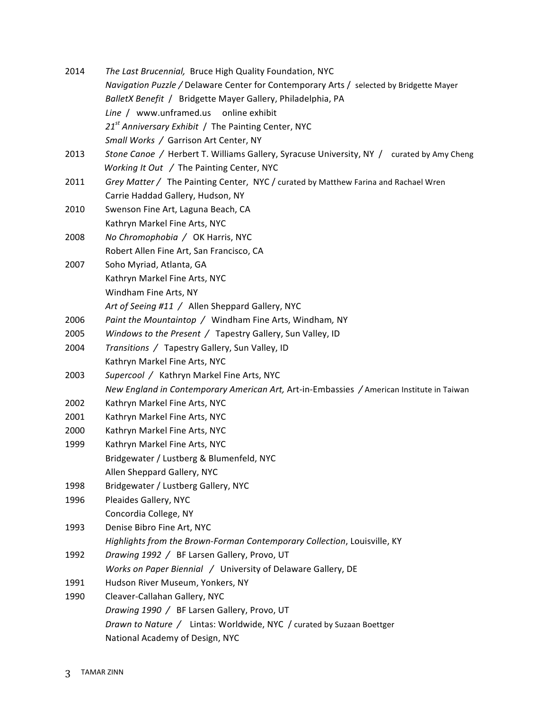2014 The Last Brucennial, Bruce High Quality Foundation, NYC *Navigation Puzzle* / Delaware Center for Contemporary Arts / selected by Bridgette Mayer BalletX Benefit / Bridgette Mayer Gallery, Philadelphia, PA Line / www.unframed.us online exhibit 21<sup><sup>st</sup> Anniversary Exhibit / The Painting Center, NYC</sup> *Small Works / Garrison Art Center, NY* 2013 *Stone Canoe* / Herbert T. Williams Gallery, Syracuse University, NY / curated by Amy Cheng *Working It Out / The Painting Center, NYC* 2011 *Grey Matter* / The Painting Center, NYC / curated by Matthew Farina and Rachael Wren Carrie Haddad Gallery, Hudson, NY 2010 Swenson Fine Art, Laguna Beach, CA Kathryn Markel Fine Arts, NYC 2008 No Chromophobia / OK Harris, NYC Robert Allen Fine Art, San Francisco, CA 2007 Soho Myriad, Atlanta, GA Kathryn Markel Fine Arts, NYC Windham Fine Arts, NY Art of Seeing #11 / Allen Sheppard Gallery, NYC 2006 Paint the Mountaintop / Windham Fine Arts, Windham, NY 2005 Windows to the Present / Tapestry Gallery, Sun Valley, ID 2004 *Transitions / Tapestry Gallery, Sun Valley, ID* Kathryn Markel Fine Arts, NYC 2003 Supercool / Kathryn Markel Fine Arts, NYC *New England in Contemporary American Art, Art-in-Embassies / American Institute in Taiwan* 2002 Kathryn Markel Fine Arts, NYC 2001 Kathryn Markel Fine Arts, NYC 2000 Kathryn Markel Fine Arts, NYC 1999 Kathryn Markel Fine Arts, NYC Bridgewater / Lustberg & Blumenfeld, NYC Allen Sheppard Gallery, NYC 1998 Bridgewater / Lustberg Gallery, NYC 1996 Pleaides Gallery, NYC Concordia College, NY 1993 Denise Bibro Fine Art, NYC Highlights from the Brown-Forman Contemporary Collection, Louisville, KY 1992 *Drawing 1992 / BF Larsen Gallery, Provo, UT Works on Paper Biennial /* University of Delaware Gallery, DE 1991 Hudson River Museum, Yonkers, NY 1990 Cleaver-Callahan Gallery, NYC *Drawing 1990* / BF Larsen Gallery, Provo, UT *Drawn to Nature /* Lintas: Worldwide, NYC / curated by Suzaan Boettger National Academy of Design, NYC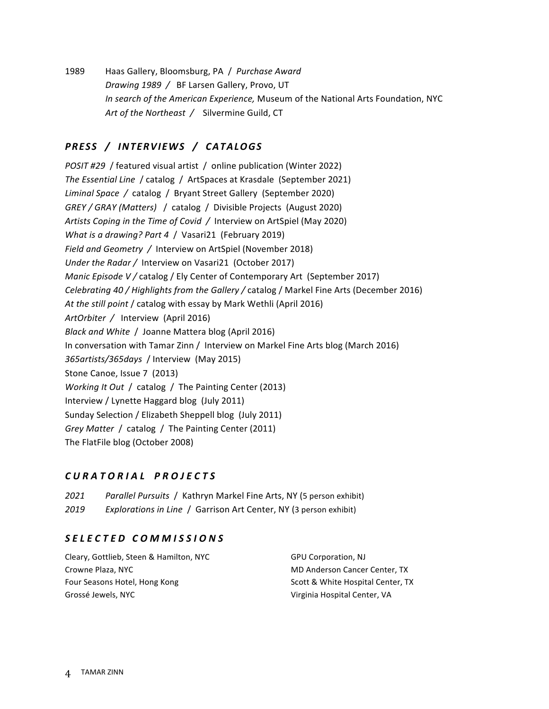1989 Haas Gallery, Bloomsburg, PA / Purchase Award *Drawing 1989* / BF Larsen Gallery, Provo, UT *In search of the American Experience,* Museum of the National Arts Foundation, NYC Art of the Northeast / Silvermine Guild, CT

# *PRESS / INTERVIEWS / CATALOGS*

*POSIT #29* / featured visual artist / online publication (Winter 2022) *The Essential Line / catalog / ArtSpaces at Krasdale (September 2021)* Liminal Space / catalog / Bryant Street Gallery (September 2020) *GREY* / *GRAY* (*Matters*) / catalog / Divisible Projects (August 2020) Artists Coping in the Time of Covid / Interview on ArtSpiel (May 2020) *What is a drawing? Part 4 / Vasari21 (February 2019) Field and Geometry / Interview on ArtSpiel* (November 2018) *Under the Radar* / Interview on Vasari21 (October 2017) *Manic Episode V* / catalog / Ely Center of Contemporary Art (September 2017) *Celebrating 40 / Highlights from the Gallery / catalog / Markel Fine Arts (December 2016)* At the still point / catalog with essay by Mark Wethli (April 2016) ArtOrbiter / Interview (April 2016) *Black and White / Joanne Mattera blog (April 2016)* In conversation with Tamar Zinn / Interview on Markel Fine Arts blog (March 2016) 365artists/365days / Interview (May 2015) Stone Canoe, Issue 7 (2013) *Working It Out / catalog / The Painting Center (2013)* Interview / Lynette Haggard blog (July 2011) Sunday Selection / Elizabeth Sheppell blog (July 2011) *Grey Matter* / catalog / The Painting Center (2011) The FlatFile blog (October 2008)

### *C U R A T O R I A L P R O J E C T S*

**2021** *Parallel Pursuits* / Kathryn Markel Fine Arts, NY (5 person exhibit) 2019 *Explorations in Line* / Garrison Art Center, NY (3 person exhibit)

# *S E L E C T E D C O M M I S S I O N S*

Cleary, Gottlieb, Steen & Hamilton, NYC Crowne Plaza, NYC Four Seasons Hotel, Hong Kong Grossé Jewels, NYC

**GPU Corporation, NJ** MD Anderson Cancer Center, TX Scott & White Hospital Center, TX Virginia Hospital Center, VA